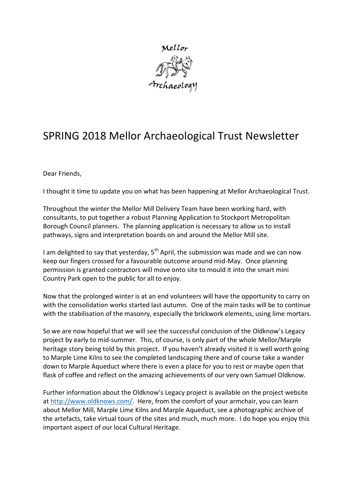

## SPRING 2018 Mellor Archaeological Trust Newsletter

Dear Friends,

I thought it time to update you on what has been happening at Mellor Archaeological Trust.

Throughout the winter the Mellor Mill Delivery Team have been working hard, with consultants, to put together a robust Planning Application to Stockport Metropolitan Borough Council planners. The planning application is necessary to allow us to install pathways, signs and interpretation boards on and around the Mellor Mill site.

I am delighted to say that yesterday,  $5<sup>th</sup>$  April, the submission was made and we can now keep our fingers crossed for a favourable outcome around mid-May. Once planning permission is granted contractors will move onto site to mould it into the smart mini Country Park open to the public for all to enjoy.

Now that the prolonged winter is at an end volunteers will have the opportunity to carry on with the consolidation works started last autumn. One of the main tasks will be to continue with the stabilisation of the masonry, especially the brickwork elements, using lime mortars.

So we are now hopeful that we will see the successful conclusion of the Oldknow's Legacy project by early to mid-summer. This, of course, is only part of the whole Mellor/Marple heritage story being told by this project. If you haven't already visited it is well worth going to Marple Lime Kilns to see the completed landscaping there and of course take a wander down to Marple Aqueduct where there is even a place for you to rest or maybe open that flask of coffee and reflect on the amazing achievements of our very own Samuel Oldknow.

Further information about the Oldknow's Legacy project is available on the project website at [http://www.oldknows.com/.](http://www.oldknows.com/) Here, from the comfort of your armchair, you can learn about Mellor Mill, Marple Lime Kilns and Marple Aqueduct, see a photographic archive of the artefacts, take virtual tours of the sites and much, much more. I do hope you enjoy this important aspect of our local Cultural Heritage.